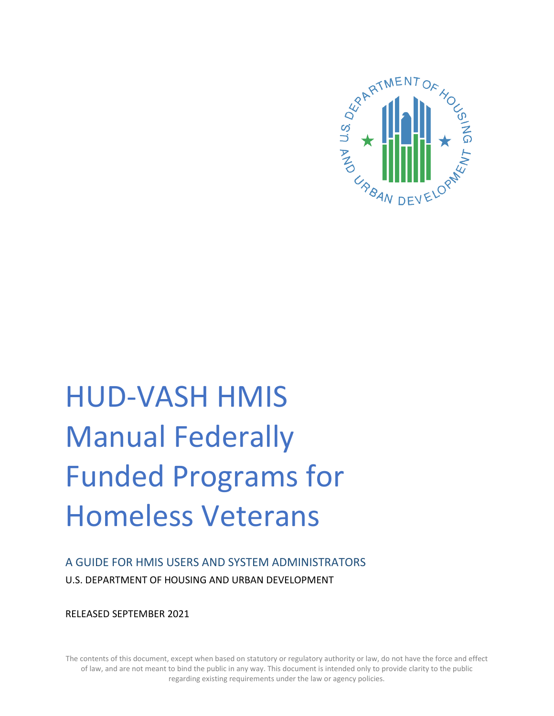

# HUD-VASH HMIS Manual Federally Funded Programs for Homeless Veterans

A GUIDE FOR HMIS USERS AND SYSTEM ADMINISTRATORS U.S. DEPARTMENT OF HOUSING AND URBAN DEVELOPMENT

RELEASED SEPTEMBER 2021

The contents of this document, except when based on statutory or regulatory authority or law, do not have the force and effect of law, and are not meant to bind the public in any way. This document is intended only to provide clarity to the public regarding existing requirements under the law or agency policies.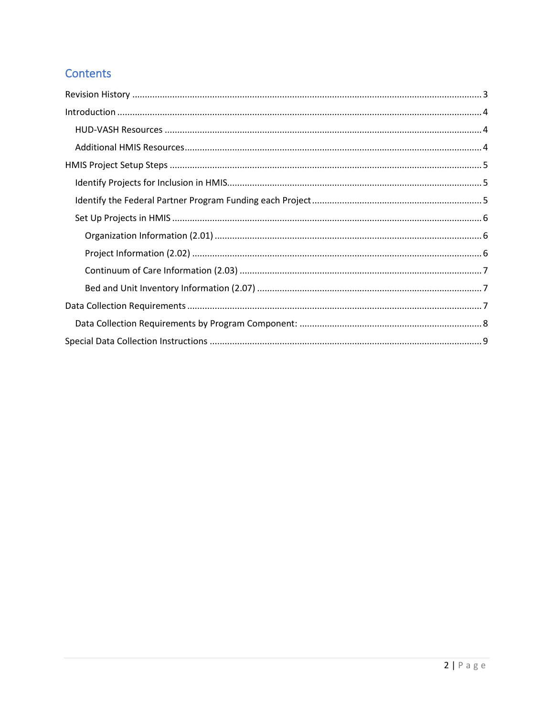## Contents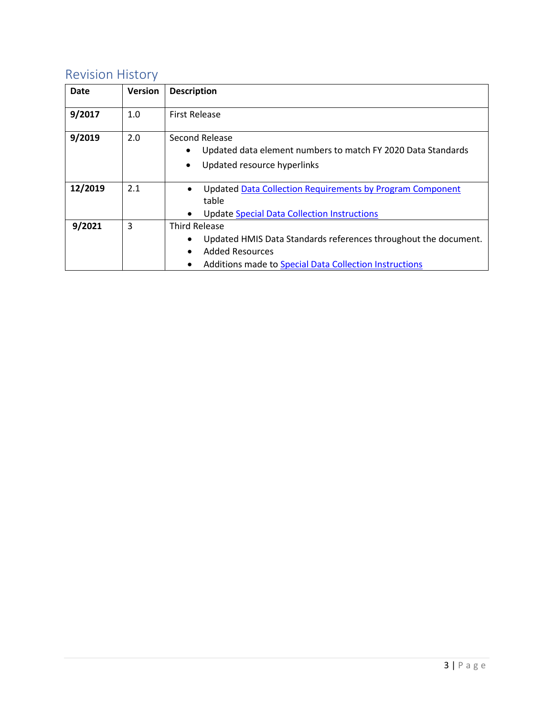## <span id="page-2-0"></span>Revision History

| <b>Date</b> | <b>Version</b> | <b>Description</b>                                                                                                                                                                            |
|-------------|----------------|-----------------------------------------------------------------------------------------------------------------------------------------------------------------------------------------------|
| 9/2017      | 1.0            | <b>First Release</b>                                                                                                                                                                          |
| 9/2019      | 2.0            | Second Release<br>Updated data element numbers to match FY 2020 Data Standards<br>$\bullet$<br>Updated resource hyperlinks<br>٠                                                               |
| 12/2019     | 2.1            | Updated Data Collection Requirements by Program Component<br>table<br><b>Update Special Data Collection Instructions</b>                                                                      |
| 9/2021      | 3              | <b>Third Release</b><br>Updated HMIS Data Standards references throughout the document.<br>$\bullet$<br><b>Added Resources</b><br>Additions made to Special Data Collection Instructions<br>٠ |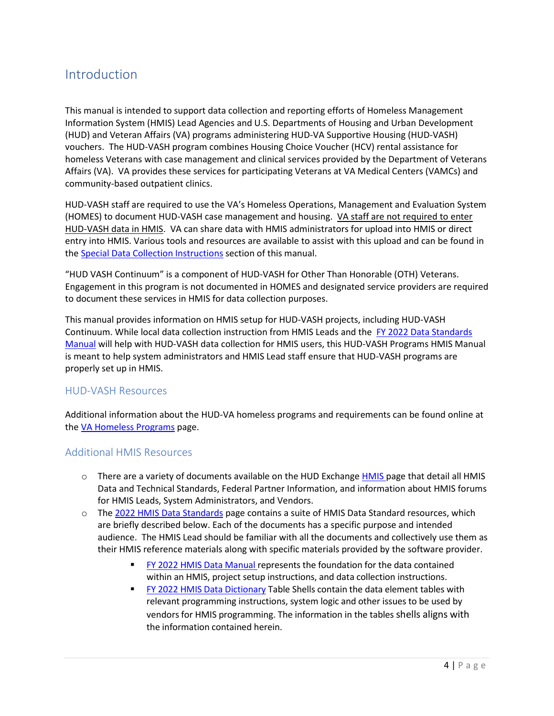## <span id="page-3-0"></span>Introduction

This manual is intended to support data collection and reporting efforts of Homeless Management Information System (HMIS) Lead Agencies and U.S. Departments of Housing and Urban Development (HUD) and Veteran Affairs (VA) programs administering HUD-VA Supportive Housing (HUD-VASH) vouchers. The HUD-VASH program combines Housing Choice Voucher (HCV) rental assistance for homeless Veterans with case management and clinical services provided by the Department of Veterans Affairs (VA). VA provides these services for participating Veterans at VA Medical Centers (VAMCs) and community-based outpatient clinics.

HUD-VASH staff are required to use the VA's Homeless Operations, Management and Evaluation System (HOMES) to document HUD-VASH case management and housing. VA staff are not required to enter HUD-VASH data in HMIS. VA can share data with HMIS administrators for upload into HMIS or direct entry into HMIS. Various tools and resources are available to assist with this upload and can be found in the [Special Data Collection Instructions](#page-8-0) section of this manual.

"HUD VASH Continuum" is a component of HUD-VASH for Other Than Honorable (OTH) Veterans. Engagement in this program is not documented in HOMES and designated service providers are required to document these services in HMIS for data collection purposes.

This manual provides information on HMIS setup for HUD-VASH projects, including HUD-VASH Continuum. While local data collection instruction from HMIS Leads and the FY 2022 [Data Standards](https://www.hudexchange.info/resource/3824/hmis-data-dictionary/)  [Manual](https://www.hudexchange.info/resource/3824/hmis-data-dictionary/) will help with HUD-VASH data collection for HMIS users, this HUD-VASH Programs HMIS Manual is meant to help system administrators and HMIS Lead staff ensure that HUD-VASH programs are properly set up in HMIS.

#### <span id="page-3-1"></span>HUD-VASH Resources

Additional information about the HUD-VA homeless programs and requirements can be found online at the VA [Homeless Programs](https://www.va.gov/homeless/hud-vash.asp) page.

#### <span id="page-3-2"></span>Additional HMIS Resources

- $\circ$  There are a variety of documents available on the HUD Exchange [HMIS](https://www.hudexchange.info/programs/hmis/) page that detail all HMIS Data and Technical Standards, Federal Partner Information, and information about HMIS forums for HMIS Leads, System Administrators, and Vendors.
- o The [2022 HMIS Data Standards](https://www.hudexchange.info/resource/3824/hmis-data-dictionary/) page contains a suite of HMIS Data Standard resources, which are briefly described below. Each of the documents has a specific purpose and intended audience. The HMIS Lead should be familiar with all the documents and collectively use them as their HMIS reference materials along with specific materials provided by the software provider.
	- [FY 2022](https://www.hudexchange.info/resource/3824/hmis-data-dictionary/) HMIS Data Manual represents the foundation for the data contained within an HMIS, project setup instructions, and data collection instructions.
	- **FY 2022 HMIS [Data Dictionary](https://files.hudexchange.info/resources/documents/FY-2022-HMIS-Data-Dictionary.pdf) Table Shells contain the data element tables with** relevant programming instructions, system logic and other issues to be used by vendors for HMIS programming. The information in the tables shells aligns with the information contained herein.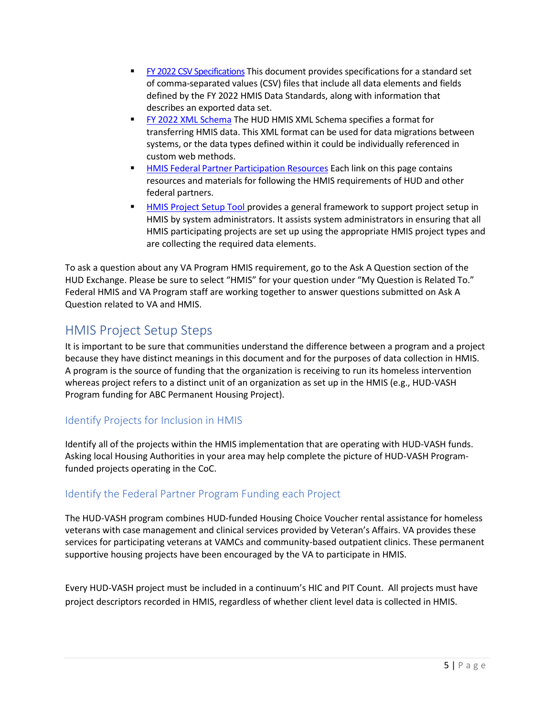- FY 2022 [CSV Specifications](https://hudhdx.info/VendorResources.aspx) This document provides specifications for a standard set of comma-separated values (CSV) files that include all data elements and fields defined by the FY 2022 HMIS Data Standards, along with information that describes an exported data set.
- **FY 2022 [XML Schema](https://hudhdx.info/VendorResources.aspx) The HUD HMIS XML Schema specifies a format for** transferring HMIS data. This XML format can be used for data migrations between systems, or the data types defined within it could be individually referenced in custom web methods.
- **HMIS Federal Partner [Participation Resources](https://www.hudexchange.info/programs/hmis/federal-partner-participation/) Each link on this page contains** resources and materials for following the HMIS requirements of HUD and other federal partners.
- **HIMIS** Project Setup Tool provides a general framework to support project setup in HMIS by system administrators. It assists system administrators in ensuring that all HMIS participating projects are set up using the appropriate HMIS project types and are collecting the required data elements.

To ask a question about any VA Program HMIS requirement, go to th[e Ask A Question](https://www.hudexchange.info/get-assistance/my-question/) section of the HUD Exchange. Please be sure to select "HMIS" for your question under "My Question is Related To." Federal HMIS and VA Program staff are working together to answer questions submitted on Ask A Question related to VA and HMIS.

## <span id="page-4-0"></span>HMIS Project Setup Steps

It is important to be sure that communities understand the difference between a program and a project because they have distinct meanings in this document and for the purposes of data collection in HMIS. A program is the source of funding that the organization is receiving to run its homeless intervention whereas project refers to a distinct unit of an organization as set up in the HMIS (e.g., HUD-VASH Program funding for ABC Permanent Housing Project).

#### <span id="page-4-1"></span>Identify Projects for Inclusion in HMIS

Identify all of the projects within the HMIS implementation that are operating with HUD-VASH funds. Asking local Housing Authorities in your area may help complete the picture of HUD-VASH Programfunded projects operating in the CoC.

### <span id="page-4-2"></span>Identify the Federal Partner Program Funding each Project

The HUD-VASH program combines HUD-funded Housing Choice Voucher rental assistance for homeless veterans with case management and clinical services provided by Veteran's Affairs. VA provides these services for participating veterans at VAMCs and community-based outpatient clinics. These permanent supportive housing projects have been encouraged by the VA to participate in HMIS.

Every HUD-VASH project must be included in a continuum's HIC and PIT Count. All projects must have project descriptors recorded in HMIS, regardless of whether client level data is collected in HMIS.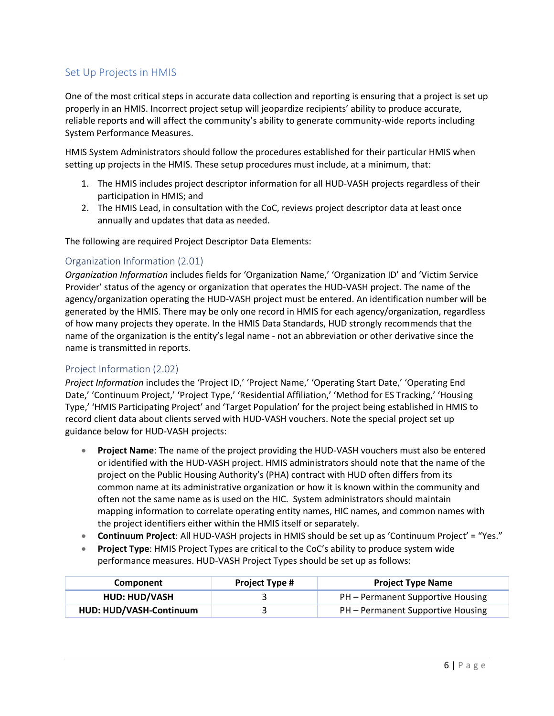#### <span id="page-5-0"></span>Set Up Projects in HMIS

One of the most critical steps in accurate data collection and reporting is ensuring that a project is set up properly in an HMIS. Incorrect project setup will jeopardize recipients' ability to produce accurate, reliable reports and will affect the community's ability to generate community-wide reports including System Performance Measures.

HMIS System Administrators should follow the procedures established for their particular HMIS when setting up projects in the HMIS. These setup procedures must include, at a minimum, that:

- 1. The HMIS includes project descriptor information for all HUD-VASH projects regardless of their participation in HMIS; and
- 2. The HMIS Lead, in consultation with the CoC, reviews project descriptor data at least once annually and updates that data as needed.

The following are required Project Descriptor Data Elements:

#### <span id="page-5-1"></span>Organization Information (2.01)

*Organization Information* includes fields for 'Organization Name,' 'Organization ID' and 'Victim Service Provider' status of the agency or organization that operates the HUD-VASH project. The name of the agency/organization operating the HUD-VASH project must be entered. An identification number will be generated by the HMIS. There may be only one record in HMIS for each agency/organization, regardless of how many projects they operate. In the HMIS Data Standards, HUD strongly recommends that the name of the organization is the entity's legal name - not an abbreviation or other derivative since the name is transmitted in reports.

#### <span id="page-5-2"></span>Project Information (2.02)

*Project Information* includes the 'Project ID,' 'Project Name,' 'Operating Start Date,' 'Operating End Date,' 'Continuum Project,' 'Project Type,' 'Residential Affiliation,' 'Method for ES Tracking,' 'Housing Type,' 'HMIS Participating Project' and 'Target Population' for the project being established in HMIS to record client data about clients served with HUD-VASH vouchers. Note the special project set up guidance below for HUD-VASH projects:

- **Project Name**: The name of the project providing the HUD-VASH vouchers must also be entered or identified with the HUD-VASH project. HMIS administrators should note that the name of the project on the Public Housing Authority's (PHA) contract with HUD often differs from its common name at its administrative organization or how it is known within the community and often not the same name as is used on the HIC. System administrators should maintain mapping information to correlate operating entity names, HIC names, and common names with the project identifiers either within the HMIS itself or separately.
- **Continuum Project**: All HUD-VASH projects in HMIS should be set up as 'Continuum Project' = "Yes."
- **Project Type**: HMIS Project Types are critical to the CoC's ability to produce system wide performance measures. HUD-VASH Project Types should be set up as follows:

| <b>Component</b>        | <b>Project Type #</b> | <b>Project Type Name</b>          |
|-------------------------|-----------------------|-----------------------------------|
| <b>HUD: HUD/VASH</b>    |                       | PH – Permanent Supportive Housing |
| HUD: HUD/VASH-Continuum |                       | PH – Permanent Supportive Housing |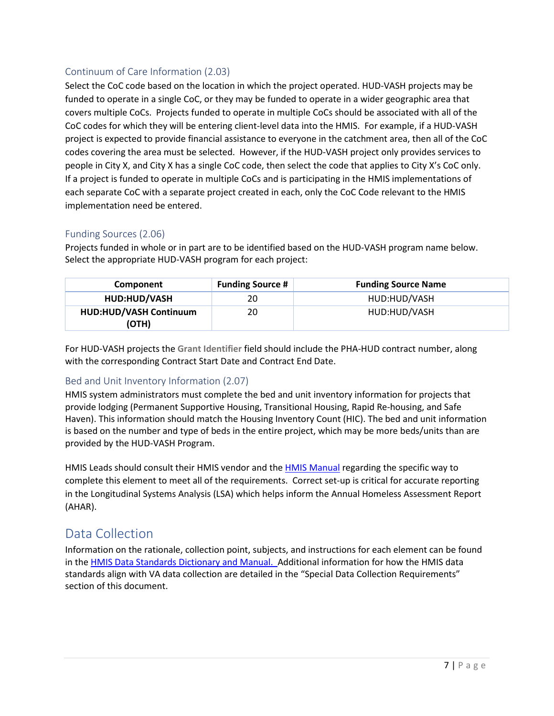#### <span id="page-6-0"></span>Continuum of Care Information (2.03)

Select the CoC code based on the location in which the project operated. HUD-VASH projects may be funded to operate in a single CoC, or they may be funded to operate in a wider geographic area that covers multiple CoCs. Projects funded to operate in multiple CoCs should be associated with all of the CoC codes for which they will be entering client-level data into the HMIS. For example, if a HUD-VASH project is expected to provide financial assistance to everyone in the catchment area, then all of the CoC codes covering the area must be selected. However, if the HUD-VASH project only provides services to people in City X, and City X has a single CoC code, then select the code that applies to City X's CoC only. If a project is funded to operate in multiple CoCs and is participating in the HMIS implementations of each separate CoC with a separate project created in each, only the CoC Code relevant to the HMIS implementation need be entered.

#### Funding Sources (2.06)

Projects funded in whole or in part are to be identified based on the HUD-VASH program name below. Select the appropriate HUD-VASH program for each project:

| Component                              | <b>Funding Source #</b> | <b>Funding Source Name</b> |
|----------------------------------------|-------------------------|----------------------------|
| HUD:HUD/VASH                           | 20                      | HUD:HUD/VASH               |
| <b>HUD:HUD/VASH Continuum</b><br>(OTH) | 20                      | HUD:HUD/VASH               |

For HUD-VASH projects the **Grant Identifier** field should include the PHA-HUD contract number, along with the corresponding Contract Start Date and Contract End Date.

#### <span id="page-6-1"></span>Bed and Unit Inventory Information (2.07)

HMIS system administrators must complete the bed and unit inventory information for projects that provide lodging (Permanent Supportive Housing, Transitional Housing, Rapid Re-housing, and Safe Haven). This information should match the Housing Inventory Count (HIC). The bed and unit information is based on the number and type of beds in the entire project, which may be more beds/units than are provided by the HUD-VASH Program.

HMIS Leads should consult their HMIS vendor and the [HMIS Manual](https://www.hudexchange.info/resource/3824/hmis-data-dictionary/) regarding the specific way to complete this element to meet all of the requirements. Correct set-up is critical for accurate reporting in the Longitudinal Systems Analysis (LSA) which helps inform the Annual Homeless Assessment Report (AHAR).

## <span id="page-6-2"></span>Data Collection

Information on the rationale, collection point, subjects, and instructions for each element can be found in the **HMIS Data Standards Dictionary and Manual.** Additional information for how the HMIS data standards align with VA data collection are detailed in the "Special Data Collection Requirements" section of this document.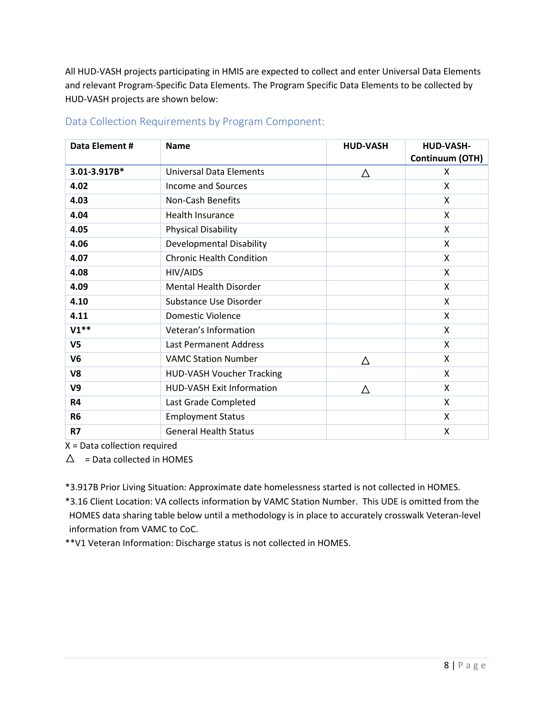All HUD-VASH projects participating in HMIS are expected to collect and enter Universal Data Elements and relevant Program-Specific Data Elements. The Program Specific Data Elements to be collected by HUD-VASH projects are shown below:

| Data Element # | <b>Name</b>                      | <b>HUD-VASH</b> | <b>HUD-VASH-</b><br>Continuum (OTH) |
|----------------|----------------------------------|-----------------|-------------------------------------|
| 3.01-3.917B*   | <b>Universal Data Elements</b>   | Δ               | X                                   |
| 4.02           | Income and Sources               |                 | X                                   |
| 4.03           | Non-Cash Benefits                |                 | X                                   |
| 4.04           | Health Insurance                 |                 | X                                   |
| 4.05           | <b>Physical Disability</b>       |                 | X                                   |
| 4.06           | Developmental Disability         |                 | X                                   |
| 4.07           | <b>Chronic Health Condition</b>  |                 | X                                   |
| 4.08           | HIV/AIDS                         |                 | X                                   |
| 4.09           | <b>Mental Health Disorder</b>    |                 | X                                   |
| 4.10           | Substance Use Disorder           |                 | X                                   |
| 4.11           | Domestic Violence                |                 | X                                   |
| $V1**$         | Veteran's Information            |                 | X                                   |
| V <sub>5</sub> | <b>Last Permanent Address</b>    |                 | X                                   |
| V <sub>6</sub> | <b>VAMC Station Number</b>       | Δ               | X                                   |
| V8             | <b>HUD-VASH Voucher Tracking</b> |                 | X                                   |
| V <sub>9</sub> | HUD-VASH Exit Information        | Δ               | X                                   |
| <b>R4</b>      | Last Grade Completed             |                 | X                                   |
| R <sub>6</sub> | <b>Employment Status</b>         |                 | X                                   |
| R7             | <b>General Health Status</b>     |                 | Χ                                   |

#### <span id="page-7-0"></span>Data Collection Requirements by Program Component:

X = Data collection required

 $\triangle$  = Data collected in HOMES

\*3.917B Prior Living Situation: Approximate date homelessness started is not collected in HOMES.

\*3.16 Client Location: VA collects information by VAMC Station Number. This UDE is omitted from the HOMES data sharing table below until a methodology is in place to accurately crosswalk Veteran-level information from VAMC to CoC.

\*\*V1 Veteran Information: Discharge status is not collected in HOMES.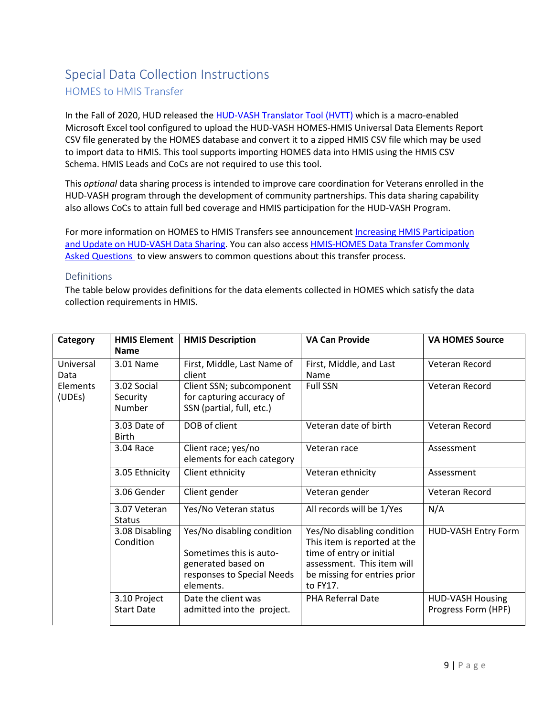## <span id="page-8-0"></span>Special Data Collection Instructions HOMES to HMIS Transfer

In the Fall of 2020, HUD released th[e HUD-VASH Translator Tool \(HVTT\)](https://www.hudexchange.info/resource/6216/hudvash-homes-to-hmis-translator-tool/) which is a macro-enabled Microsoft Excel tool configured to upload the HUD-VASH HOMES-HMIS Universal Data Elements Report CSV file generated by the HOMES database and convert it to a zipped HMIS CSV file which may be used to import data to HMIS. This tool supports importing HOMES data into HMIS using the HMIS CSV Schema. HMIS Leads and CoCs are not required to use this tool.

This *optional* data sharing process is intended to improve care coordination for Veterans enrolled in the HUD-VASH program through the development of community partnerships. This data sharing capability also allows CoCs to attain full bed coverage and HMIS participation for the HUD-VASH Program.

For more information on HOMES to HMIS Transfers see announcement Increasing HMIS Participation [and Update on HUD-VASH Data Sharing.](https://www.hudexchange.info/news/increasing-hmis-participation-and-update-on-hud-vash-data-sharing/) You can also access [HMIS-HOMES Data Transfer Commonly](https://files.hudexchange.info/resources/documents/HMIS-HOMES-Data-Transfer-Commonly-Asked-Questions.pdf)  [Asked Questions](https://files.hudexchange.info/resources/documents/HMIS-HOMES-Data-Transfer-Commonly-Asked-Questions.pdf) to view answers to common questions about this transfer process.

#### Definitions

The table below provides definitions for the data elements collected in HOMES which satisfy the data collection requirements in HMIS.

| Category           | <b>HMIS Element</b><br><b>Name</b> | <b>HMIS Description</b>                                                                                                | <b>VA Can Provide</b>                                                                                                                                            | <b>VA HOMES Source</b>                         |
|--------------------|------------------------------------|------------------------------------------------------------------------------------------------------------------------|------------------------------------------------------------------------------------------------------------------------------------------------------------------|------------------------------------------------|
| Universal<br>Data  | 3.01 Name                          | First, Middle, Last Name of<br>client                                                                                  | First, Middle, and Last<br>Name                                                                                                                                  | Veteran Record                                 |
| Elements<br>(UDEs) | 3.02 Social<br>Security<br>Number  | Client SSN; subcomponent<br>for capturing accuracy of<br>SSN (partial, full, etc.)                                     | <b>Full SSN</b>                                                                                                                                                  | Veteran Record                                 |
|                    | 3.03 Date of<br><b>Birth</b>       | DOB of client                                                                                                          | Veteran date of birth                                                                                                                                            | Veteran Record                                 |
|                    | 3.04 Race                          | Client race; yes/no<br>elements for each category                                                                      | Veteran race                                                                                                                                                     | Assessment                                     |
|                    | 3.05 Ethnicity                     | Client ethnicity                                                                                                       | Veteran ethnicity                                                                                                                                                | Assessment                                     |
|                    | 3.06 Gender                        | Client gender                                                                                                          | Veteran gender                                                                                                                                                   | Veteran Record                                 |
|                    | 3.07 Veteran<br><b>Status</b>      | Yes/No Veteran status                                                                                                  | All records will be 1/Yes                                                                                                                                        | N/A                                            |
|                    | 3.08 Disabling<br>Condition        | Yes/No disabling condition<br>Sometimes this is auto-<br>generated based on<br>responses to Special Needs<br>elements. | Yes/No disabling condition<br>This item is reported at the<br>time of entry or initial<br>assessment. This item will<br>be missing for entries prior<br>to FY17. | HUD-VASH Entry Form                            |
|                    | 3.10 Project<br><b>Start Date</b>  | Date the client was<br>admitted into the project.                                                                      | PHA Referral Date                                                                                                                                                | <b>HUD-VASH Housing</b><br>Progress Form (HPF) |